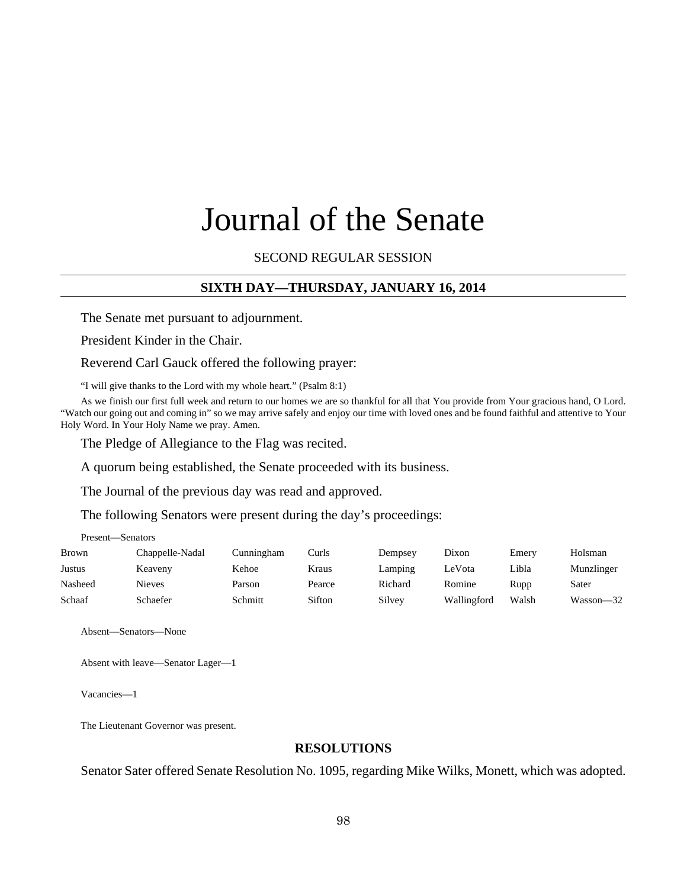# Journal of the Senate

## SECOND REGULAR SESSION

## **SIXTH DAY—THURSDAY, JANUARY 16, 2014**

The Senate met pursuant to adjournment.

President Kinder in the Chair.

Reverend Carl Gauck offered the following prayer:

"I will give thanks to the Lord with my whole heart." (Psalm 8:1)

As we finish our first full week and return to our homes we are so thankful for all that You provide from Your gracious hand, O Lord. "Watch our going out and coming in" so we may arrive safely and enjoy our time with loved ones and be found faithful and attentive to Your Holy Word. In Your Holy Name we pray. Amen.

The Pledge of Allegiance to the Flag was recited.

A quorum being established, the Senate proceeded with its business.

The Journal of the previous day was read and approved.

The following Senators were present during the day's proceedings:

Present—Senators

| <b>Brown</b> | Chappelle-Nadal | Cunningham | Curls  | Dempsey | Dixon       | Emery | Holsman    |
|--------------|-----------------|------------|--------|---------|-------------|-------|------------|
| Justus       | Keaveny         | Kehoe      | Kraus  | Lamping | LeVota      | Libla | Munzlinger |
| Nasheed      | Nieves          | Parson     | Pearce | Richard | Romine      | Rupp  | Sater      |
| Schaaf       | Schaefer        | Schmitt    | Sifton | Silvey  | Wallingford | Walsh | Wasson-32  |

Absent—Senators—None

Absent with leave—Senator Lager—1

Vacancies—1

The Lieutenant Governor was present.

#### **RESOLUTIONS**

Senator Sater offered Senate Resolution No. 1095, regarding Mike Wilks, Monett, which was adopted.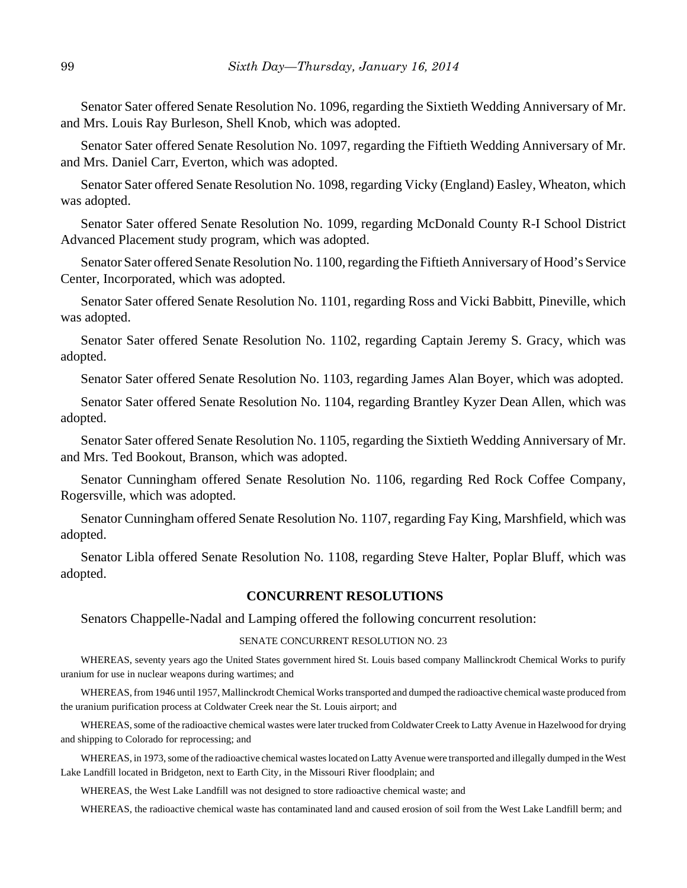Senator Sater offered Senate Resolution No. 1096, regarding the Sixtieth Wedding Anniversary of Mr. and Mrs. Louis Ray Burleson, Shell Knob, which was adopted.

Senator Sater offered Senate Resolution No. 1097, regarding the Fiftieth Wedding Anniversary of Mr. and Mrs. Daniel Carr, Everton, which was adopted.

Senator Sater offered Senate Resolution No. 1098, regarding Vicky (England) Easley, Wheaton, which was adopted.

Senator Sater offered Senate Resolution No. 1099, regarding McDonald County R-I School District Advanced Placement study program, which was adopted.

Senator Sater offered Senate Resolution No. 1100, regarding the Fiftieth Anniversary of Hood's Service Center, Incorporated, which was adopted.

Senator Sater offered Senate Resolution No. 1101, regarding Ross and Vicki Babbitt, Pineville, which was adopted.

Senator Sater offered Senate Resolution No. 1102, regarding Captain Jeremy S. Gracy, which was adopted.

Senator Sater offered Senate Resolution No. 1103, regarding James Alan Boyer, which was adopted.

Senator Sater offered Senate Resolution No. 1104, regarding Brantley Kyzer Dean Allen, which was adopted.

Senator Sater offered Senate Resolution No. 1105, regarding the Sixtieth Wedding Anniversary of Mr. and Mrs. Ted Bookout, Branson, which was adopted.

Senator Cunningham offered Senate Resolution No. 1106, regarding Red Rock Coffee Company, Rogersville, which was adopted.

Senator Cunningham offered Senate Resolution No. 1107, regarding Fay King, Marshfield, which was adopted.

Senator Libla offered Senate Resolution No. 1108, regarding Steve Halter, Poplar Bluff, which was adopted.

### **CONCURRENT RESOLUTIONS**

Senators Chappelle-Nadal and Lamping offered the following concurrent resolution:

#### SENATE CONCURRENT RESOLUTION NO. 23

WHEREAS, seventy years ago the United States government hired St. Louis based company Mallinckrodt Chemical Works to purify uranium for use in nuclear weapons during wartimes; and

WHEREAS, from 1946 until 1957, Mallinckrodt Chemical Works transported and dumped the radioactive chemical waste produced from the uranium purification process at Coldwater Creek near the St. Louis airport; and

WHEREAS, some of the radioactive chemical wastes were later trucked from Coldwater Creek to Latty Avenue in Hazelwood for drying and shipping to Colorado for reprocessing; and

WHEREAS, in 1973, some of the radioactive chemical wastes located on Latty Avenue were transported and illegally dumped in the West Lake Landfill located in Bridgeton, next to Earth City, in the Missouri River floodplain; and

WHEREAS, the West Lake Landfill was not designed to store radioactive chemical waste; and

WHEREAS, the radioactive chemical waste has contaminated land and caused erosion of soil from the West Lake Landfill berm; and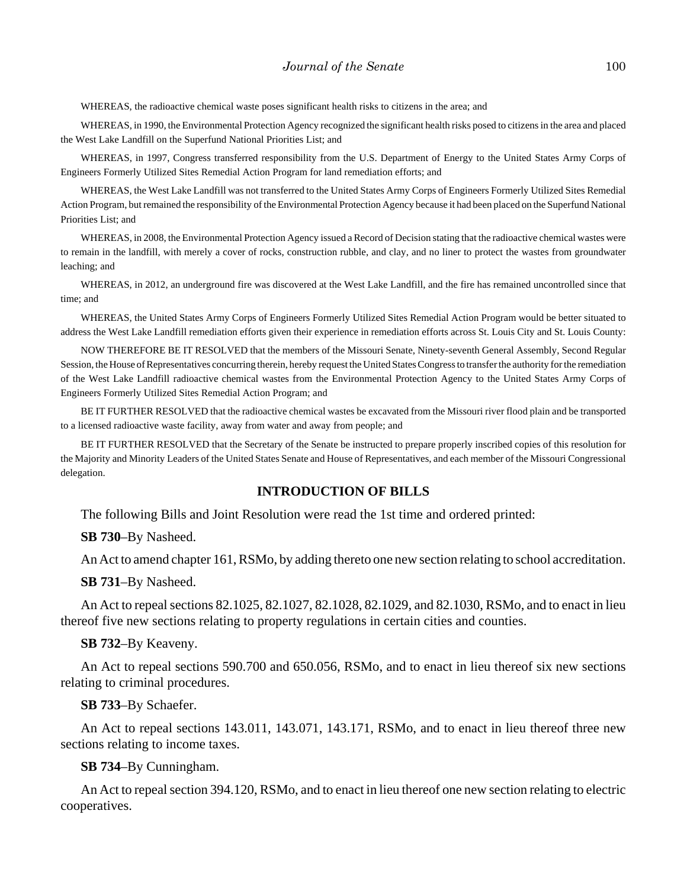WHEREAS, the radioactive chemical waste poses significant health risks to citizens in the area; and

WHEREAS, in 1990, the Environmental Protection Agency recognized the significant health risks posed to citizens in the area and placed the West Lake Landfill on the Superfund National Priorities List; and

WHEREAS, in 1997, Congress transferred responsibility from the U.S. Department of Energy to the United States Army Corps of Engineers Formerly Utilized Sites Remedial Action Program for land remediation efforts; and

WHEREAS, the West Lake Landfill was not transferred to the United States Army Corps of Engineers Formerly Utilized Sites Remedial Action Program, but remained the responsibility of the Environmental Protection Agency because it had been placed on the Superfund National Priorities List; and

WHEREAS, in 2008, the Environmental Protection Agency issued a Record of Decision stating that the radioactive chemical wastes were to remain in the landfill, with merely a cover of rocks, construction rubble, and clay, and no liner to protect the wastes from groundwater leaching; and

WHEREAS, in 2012, an underground fire was discovered at the West Lake Landfill, and the fire has remained uncontrolled since that time; and

WHEREAS, the United States Army Corps of Engineers Formerly Utilized Sites Remedial Action Program would be better situated to address the West Lake Landfill remediation efforts given their experience in remediation efforts across St. Louis City and St. Louis County:

NOW THEREFORE BE IT RESOLVED that the members of the Missouri Senate, Ninety-seventh General Assembly, Second Regular Session, the House of Representatives concurring therein, hereby request the United States Congress to transfer the authority for the remediation of the West Lake Landfill radioactive chemical wastes from the Environmental Protection Agency to the United States Army Corps of Engineers Formerly Utilized Sites Remedial Action Program; and

BE IT FURTHER RESOLVED that the radioactive chemical wastes be excavated from the Missouri river flood plain and be transported to a licensed radioactive waste facility, away from water and away from people; and

BE IT FURTHER RESOLVED that the Secretary of the Senate be instructed to prepare properly inscribed copies of this resolution for the Majority and Minority Leaders of the United States Senate and House of Representatives, and each member of the Missouri Congressional delegation.

#### **INTRODUCTION OF BILLS**

The following Bills and Joint Resolution were read the 1st time and ordered printed:

**SB 730**–By Nasheed.

An Act to amend chapter 161, RSMo, by adding thereto one new section relating to school accreditation.

**SB 731**–By Nasheed.

An Act to repeal sections 82.1025, 82.1027, 82.1028, 82.1029, and 82.1030, RSMo, and to enact in lieu thereof five new sections relating to property regulations in certain cities and counties.

**SB 732**–By Keaveny.

An Act to repeal sections 590.700 and 650.056, RSMo, and to enact in lieu thereof six new sections relating to criminal procedures.

#### **SB 733**–By Schaefer.

An Act to repeal sections 143.011, 143.071, 143.171, RSMo, and to enact in lieu thereof three new sections relating to income taxes.

#### **SB 734**–By Cunningham.

An Act to repeal section 394.120, RSMo, and to enact in lieu thereof one new section relating to electric cooperatives.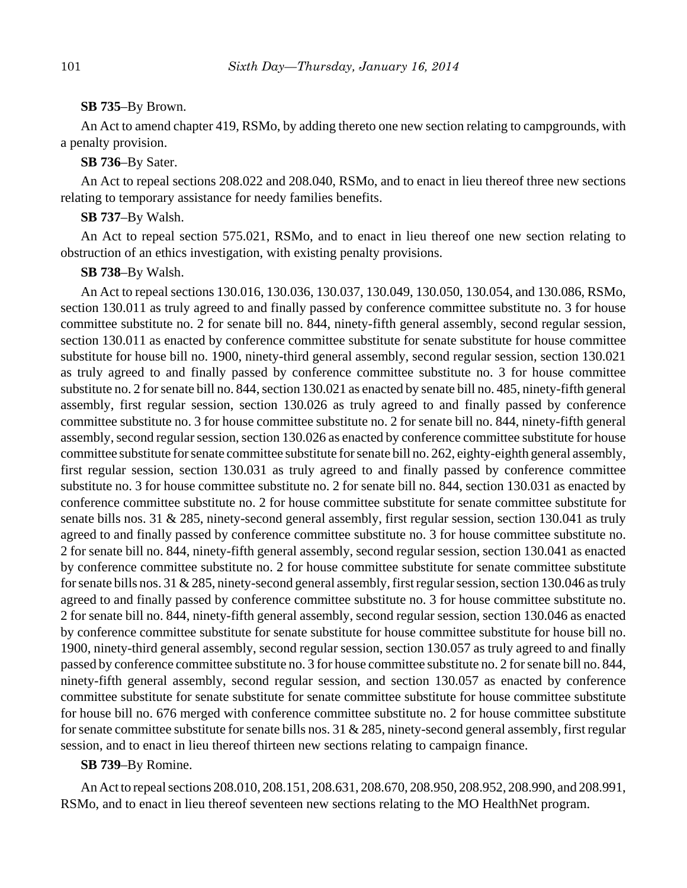#### **SB 735**–By Brown.

An Act to amend chapter 419, RSMo, by adding thereto one new section relating to campgrounds, with a penalty provision.

## **SB 736**–By Sater.

An Act to repeal sections 208.022 and 208.040, RSMo, and to enact in lieu thereof three new sections relating to temporary assistance for needy families benefits.

## **SB 737**–By Walsh.

An Act to repeal section 575.021, RSMo, and to enact in lieu thereof one new section relating to obstruction of an ethics investigation, with existing penalty provisions.

#### **SB 738**–By Walsh.

An Act to repeal sections 130.016, 130.036, 130.037, 130.049, 130.050, 130.054, and 130.086, RSMo, section 130.011 as truly agreed to and finally passed by conference committee substitute no. 3 for house committee substitute no. 2 for senate bill no. 844, ninety-fifth general assembly, second regular session, section 130.011 as enacted by conference committee substitute for senate substitute for house committee substitute for house bill no. 1900, ninety-third general assembly, second regular session, section 130.021 as truly agreed to and finally passed by conference committee substitute no. 3 for house committee substitute no. 2 for senate bill no. 844, section 130.021 as enacted by senate bill no. 485, ninety-fifth general assembly, first regular session, section 130.026 as truly agreed to and finally passed by conference committee substitute no. 3 for house committee substitute no. 2 for senate bill no. 844, ninety-fifth general assembly, second regular session, section 130.026 as enacted by conference committee substitute for house committee substitute for senate committee substitute for senate bill no. 262, eighty-eighth general assembly, first regular session, section 130.031 as truly agreed to and finally passed by conference committee substitute no. 3 for house committee substitute no. 2 for senate bill no. 844, section 130.031 as enacted by conference committee substitute no. 2 for house committee substitute for senate committee substitute for senate bills nos. 31 & 285, ninety-second general assembly, first regular session, section 130.041 as truly agreed to and finally passed by conference committee substitute no. 3 for house committee substitute no. 2 for senate bill no. 844, ninety-fifth general assembly, second regular session, section 130.041 as enacted by conference committee substitute no. 2 for house committee substitute for senate committee substitute for senate bills nos. 31 & 285, ninety-second general assembly, first regular session, section 130.046 as truly agreed to and finally passed by conference committee substitute no. 3 for house committee substitute no. 2 for senate bill no. 844, ninety-fifth general assembly, second regular session, section 130.046 as enacted by conference committee substitute for senate substitute for house committee substitute for house bill no. 1900, ninety-third general assembly, second regular session, section 130.057 as truly agreed to and finally passed by conference committee substitute no. 3 for house committee substitute no. 2 for senate bill no. 844, ninety-fifth general assembly, second regular session, and section 130.057 as enacted by conference committee substitute for senate substitute for senate committee substitute for house committee substitute for house bill no. 676 merged with conference committee substitute no. 2 for house committee substitute for senate committee substitute for senate bills nos. 31 & 285, ninety-second general assembly, first regular session, and to enact in lieu thereof thirteen new sections relating to campaign finance.

## **SB 739**–By Romine.

An Act to repeal sections 208.010, 208.151, 208.631, 208.670, 208.950, 208.952, 208.990, and 208.991, RSMo, and to enact in lieu thereof seventeen new sections relating to the MO HealthNet program.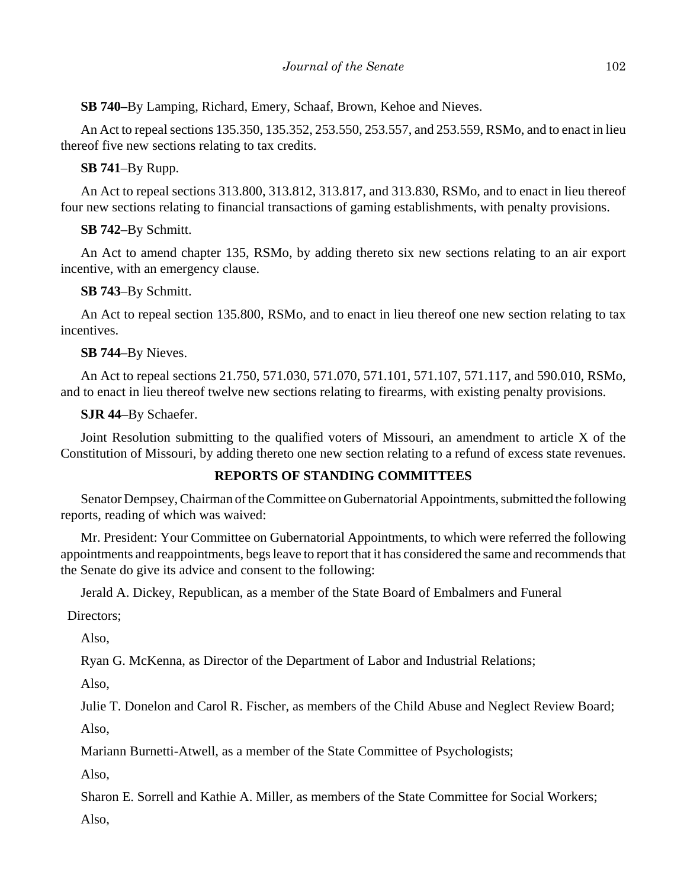**SB 740–**By Lamping, Richard, Emery, Schaaf, Brown, Kehoe and Nieves.

An Act to repeal sections 135.350, 135.352, 253.550, 253.557, and 253.559, RSMo, and to enact in lieu thereof five new sections relating to tax credits.

# **SB 741**–By Rupp.

An Act to repeal sections 313.800, 313.812, 313.817, and 313.830, RSMo, and to enact in lieu thereof four new sections relating to financial transactions of gaming establishments, with penalty provisions.

# **SB 742**–By Schmitt.

An Act to amend chapter 135, RSMo, by adding thereto six new sections relating to an air export incentive, with an emergency clause.

## **SB 743**–By Schmitt.

An Act to repeal section 135.800, RSMo, and to enact in lieu thereof one new section relating to tax incentives.

## **SB 744**–By Nieves.

An Act to repeal sections 21.750, 571.030, 571.070, 571.101, 571.107, 571.117, and 590.010, RSMo, and to enact in lieu thereof twelve new sections relating to firearms, with existing penalty provisions.

## **SJR 44**–By Schaefer.

Joint Resolution submitting to the qualified voters of Missouri, an amendment to article X of the Constitution of Missouri, by adding thereto one new section relating to a refund of excess state revenues.

## **REPORTS OF STANDING COMMITTEES**

Senator Dempsey, Chairman of the Committee on Gubernatorial Appointments, submitted the following reports, reading of which was waived:

Mr. President: Your Committee on Gubernatorial Appointments, to which were referred the following appointments and reappointments, begs leave to report that it has considered the same and recommends that the Senate do give its advice and consent to the following:

Jerald A. Dickey, Republican, as a member of the State Board of Embalmers and Funeral

Directors;

Also,

Ryan G. McKenna, as Director of the Department of Labor and Industrial Relations;

Also,

Julie T. Donelon and Carol R. Fischer, as members of the Child Abuse and Neglect Review Board;

Also,

Mariann Burnetti-Atwell, as a member of the State Committee of Psychologists;

Also,

Sharon E. Sorrell and Kathie A. Miller, as members of the State Committee for Social Workers;

Also,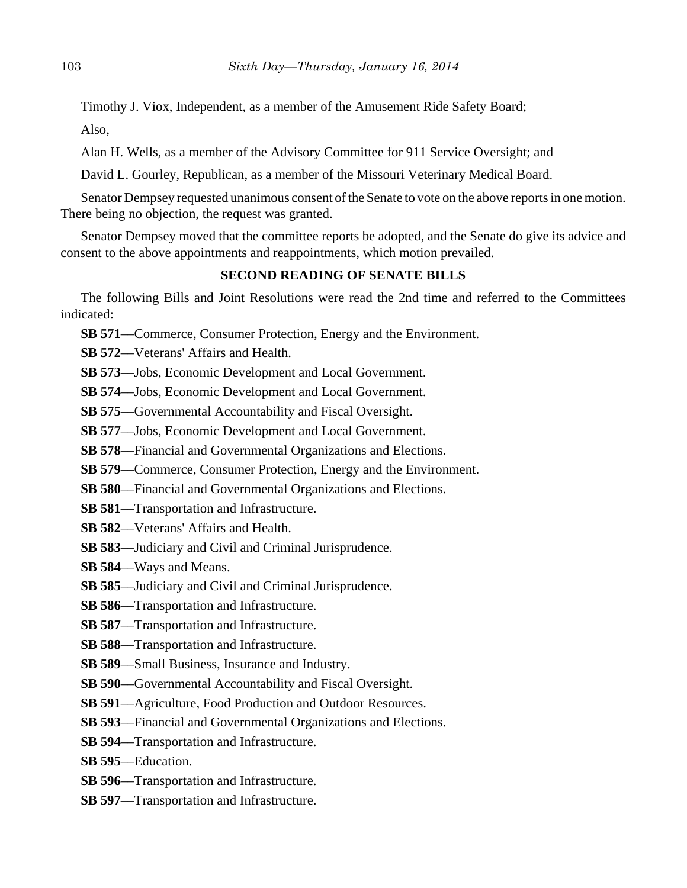Timothy J. Viox, Independent, as a member of the Amusement Ride Safety Board;

Also,

Alan H. Wells, as a member of the Advisory Committee for 911 Service Oversight; and

David L. Gourley, Republican, as a member of the Missouri Veterinary Medical Board.

Senator Dempsey requested unanimous consent of the Senate to vote on the above reports in one motion. There being no objection, the request was granted.

Senator Dempsey moved that the committee reports be adopted, and the Senate do give its advice and consent to the above appointments and reappointments, which motion prevailed.

## **SECOND READING OF SENATE BILLS**

The following Bills and Joint Resolutions were read the 2nd time and referred to the Committees indicated:

- **SB 571—Commerce, Consumer Protection, Energy and the Environment.**
- **SB 572**––Veterans' Affairs and Health.
- **SB 573**––Jobs, Economic Development and Local Government.
- **SB 574**––Jobs, Economic Development and Local Government.
- **SB 575**––Governmental Accountability and Fiscal Oversight.
- **SB 577**––Jobs, Economic Development and Local Government.
- **SB 578**––Financial and Governmental Organizations and Elections.
- **SB 579—Commerce, Consumer Protection, Energy and the Environment.**
- **SB 580**––Financial and Governmental Organizations and Elections.
- **SB 581**––Transportation and Infrastructure.
- **SB 582**––Veterans' Affairs and Health.
- **SB 583**––Judiciary and Civil and Criminal Jurisprudence.
- **SB 584**––Ways and Means.
- **SB 585**––Judiciary and Civil and Criminal Jurisprudence.
- **SB 586**––Transportation and Infrastructure.
- **SB 587**––Transportation and Infrastructure.
- **SB 588**––Transportation and Infrastructure.
- **SB 589**––Small Business, Insurance and Industry.
- **SB 590––Governmental Accountability and Fiscal Oversight.**
- **SB 591**––Agriculture, Food Production and Outdoor Resources.
- **SB 593**––Financial and Governmental Organizations and Elections.
- **SB 594**––Transportation and Infrastructure.
- **SB 595**––Education.
- **SB 596**––Transportation and Infrastructure.
- **SB 597**––Transportation and Infrastructure.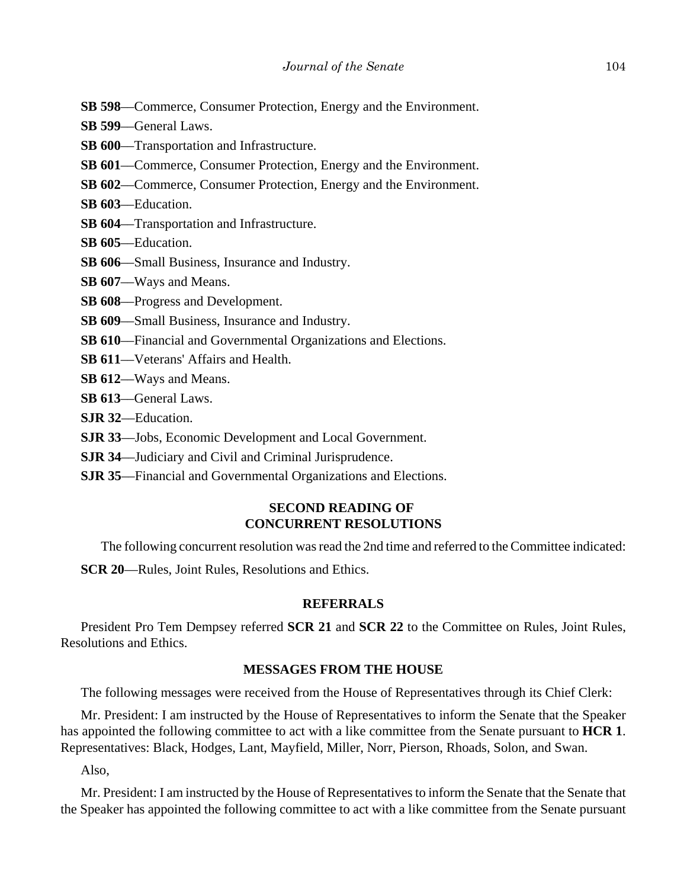- **SB 598—Commerce, Consumer Protection, Energy and the Environment.**
- **SB 599**––General Laws.
- **SB 600—Transportation and Infrastructure.**
- **SB 601—Commerce, Consumer Protection, Energy and the Environment.**
- **SB 602**––Commerce, Consumer Protection, Energy and the Environment.
- **SB 603**––Education.
- **SB 604**––Transportation and Infrastructure.
- **SB 605**––Education.
- **SB 606**––Small Business, Insurance and Industry.
- **SB 607**––Ways and Means.

**SB 608**––Progress and Development.

- **SB 609**––Small Business, Insurance and Industry.
- **SB 610**––Financial and Governmental Organizations and Elections.
- **SB 611**––Veterans' Affairs and Health.
- **SB 612**––Ways and Means.
- **SB 613**––General Laws.
- **SJR 32**––Education.
- **SJR 33**––Jobs, Economic Development and Local Government.
- **SJR 34**––Judiciary and Civil and Criminal Jurisprudence.
- **SJR 35**––Financial and Governmental Organizations and Elections.

## **SECOND READING OF CONCURRENT RESOLUTIONS**

The following concurrent resolution was read the 2nd time and referred to the Committee indicated:

**SCR 20**—Rules, Joint Rules, Resolutions and Ethics.

## **REFERRALS**

President Pro Tem Dempsey referred **SCR 21** and **SCR 22** to the Committee on Rules, Joint Rules, Resolutions and Ethics.

## **MESSAGES FROM THE HOUSE**

The following messages were received from the House of Representatives through its Chief Clerk:

Mr. President: I am instructed by the House of Representatives to inform the Senate that the Speaker has appointed the following committee to act with a like committee from the Senate pursuant to **HCR 1**. Representatives: Black, Hodges, Lant, Mayfield, Miller, Norr, Pierson, Rhoads, Solon, and Swan.

Also,

Mr. President: I am instructed by the House of Representatives to inform the Senate that the Senate that the Speaker has appointed the following committee to act with a like committee from the Senate pursuant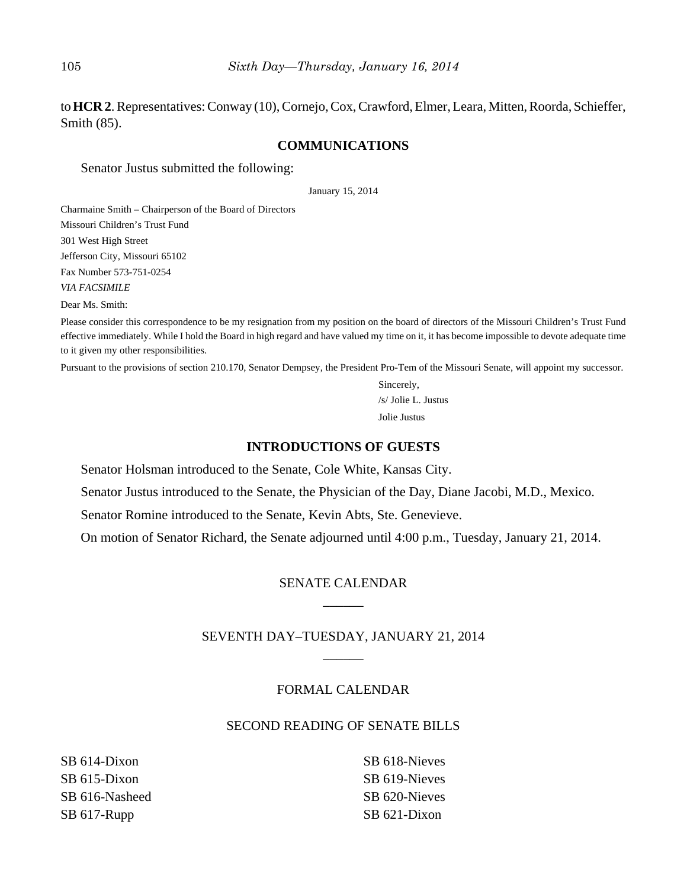to **HCR 2**. Representatives: Conway (10), Cornejo, Cox, Crawford, Elmer, Leara, Mitten, Roorda, Schieffer, Smith (85).

## **COMMUNICATIONS**

Senator Justus submitted the following:

January 15, 2014

Charmaine Smith – Chairperson of the Board of Directors Missouri Children's Trust Fund 301 West High Street Jefferson City, Missouri 65102 Fax Number 573-751-0254 *VIA FACSIMILE*

Dear Ms. Smith:

Please consider this correspondence to be my resignation from my position on the board of directors of the Missouri Children's Trust Fund effective immediately. While I hold the Board in high regard and have valued my time on it, it has become impossible to devote adequate time to it given my other responsibilities.

Pursuant to the provisions of section 210.170, Senator Dempsey, the President Pro-Tem of the Missouri Senate, will appoint my successor.

Sincerely, /s/ Jolie L. Justus Jolie Justus

## **INTRODUCTIONS OF GUESTS**

Senator Holsman introduced to the Senate, Cole White, Kansas City.

Senator Justus introduced to the Senate, the Physician of the Day, Diane Jacobi, M.D., Mexico.

Senator Romine introduced to the Senate, Kevin Abts, Ste. Genevieve.

On motion of Senator Richard, the Senate adjourned until 4:00 p.m., Tuesday, January 21, 2014.

# SENATE CALENDAR \_\_\_\_\_\_

## SEVENTH DAY–TUESDAY, JANUARY 21, 2014  $\overline{\phantom{a}}$

## FORMAL CALENDAR

## SECOND READING OF SENATE BILLS

SB 614-Dixon SB 615-Dixon SB 616-Nasheed SB 617-Rupp

SB 618-Nieves SB 619-Nieves SB 620-Nieves SB 621-Dixon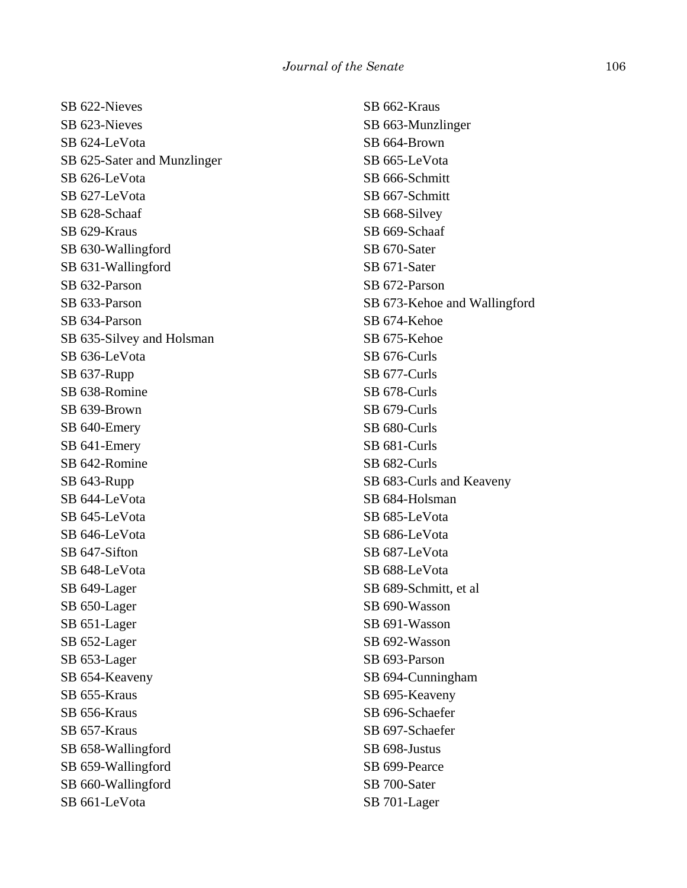SB 622-Nieves SB 623-Nieves SB 624-LeVota SB 625-Sater and Munzlinger SB 626-LeVota SB 627-LeVota SB 628-Schaaf SB 629-Kraus SB 630-Wallingford SB 631-Wallingford SB 632-Parson SB 633-Parson SB 634-Parson SB 635-Silvey and Holsman SB 636-LeVota SB 637-Rupp SB 638-Romine SB 639-Brown SB 640-Emery SB 641-Emery SB 642-Romine SB 643-Rupp SB 644-LeVota SB 645-LeVota SB 646-LeVota SB 647-Sifton SB 648-LeVota SB 649-Lager SB 650-Lager SB 651-Lager SB 652-Lager SB 653-Lager SB 654-Keaveny SB 655-Kraus SB 656-Kraus SB 657-Kraus SB 658-Wallingford SB 659-Wallingford SB 660-Wallingford SB 661-LeVota

SB 662-Kraus SB 663-Munzlinger SB 664-Brown SB 665-LeVota SB 666-Schmitt SB 667-Schmitt SB 668-Silvey SB 669-Schaaf SB 670-Sater SB 671-Sater SB 672-Parson SB 673-Kehoe and Wallingford SB 674-Kehoe SB 675-Kehoe SB 676-Curls SB 677-Curls SB 678-Curls SB 679-Curls SB 680-Curls SB 681-Curls SB 682-Curls SB 683-Curls and Keaveny SB 684-Holsman SB 685-LeVota SB 686-LeVota SB 687-LeVota SB 688-LeVota SB 689-Schmitt, et al SB 690-Wasson SB 691-Wasson SB 692-Wasson SB 693-Parson SB 694-Cunningham SB 695-Keaveny SB 696-Schaefer SB 697-Schaefer SB 698-Justus SB 699-Pearce SB 700-Sater SB 701-Lager